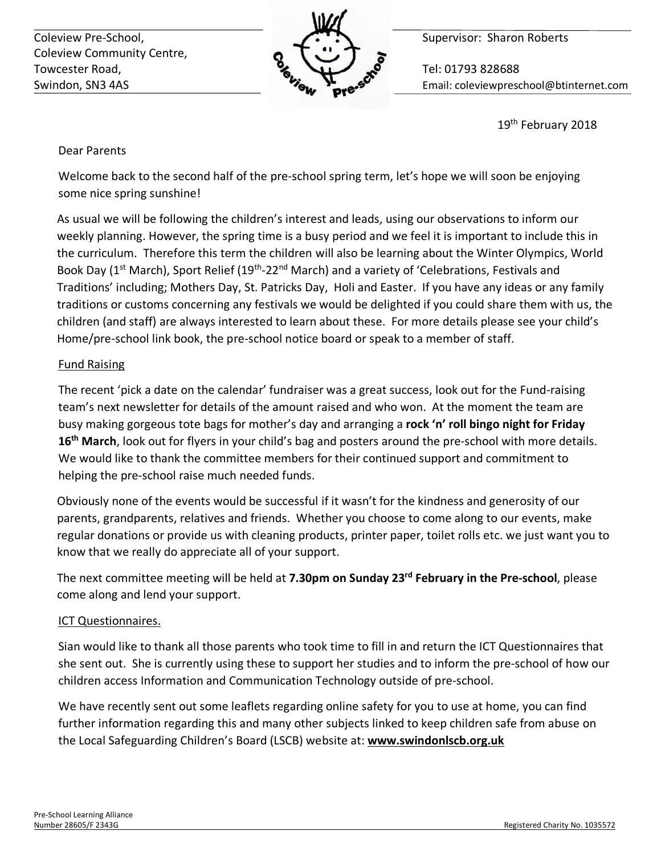Coleview Pre-School, **Supervisor: Sharon Roberts** Coleview Pre-School, Coleview Community Centre, Towcester Road, **The Contract of Tel: 01793 828688** 



Swindon, SN3 4AS **Email: coleviewpreschool@btinternet.com** 

19<sup>th</sup> February 2018

# Dear Parents

Welcome back to the second half of the pre-school spring term, let's hope we will soon be enjoying some nice spring sunshine!

As usual we will be following the children's interest and leads, using our observations to inform our weekly planning. However, the spring time is a busy period and we feel it is important to include this in the curriculum. Therefore this term the children will also be learning about the Winter Olympics, World Book Day (1<sup>st</sup> March), Sport Relief (19<sup>th</sup>-22<sup>nd</sup> March) and a variety of 'Celebrations, Festivals and Traditions' including; Mothers Day, St. Patricks Day, Holi and Easter. If you have any ideas or any family traditions or customs concerning any festivals we would be delighted if you could share them with us, the children (and staff) are always interested to learn about these. For more details please see your child's Home/pre-school link book, the pre-school notice board or speak to a member of staff.

# Fund Raising

The recent 'pick a date on the calendar' fundraiser was a great success, look out for the Fund-raising team's next newsletter for details of the amount raised and who won. At the moment the team are busy making gorgeous tote bags for mother's day and arranging a **rock 'n' roll bingo night for Friday 16th March**, look out for flyers in your child's bag and posters around the pre-school with more details. We would like to thank the committee members for their continued support and commitment to helping the pre-school raise much needed funds.

Obviously none of the events would be successful if it wasn't for the kindness and generosity of our parents, grandparents, relatives and friends. Whether you choose to come along to our events, make regular donations or provide us with cleaning products, printer paper, toilet rolls etc. we just want you to know that we really do appreciate all of your support.

The next committee meeting will be held at **7.30pm on Sunday 23rd February in the Pre-school**, please come along and lend your support.

## **ICT Questionnaires.**

Sian would like to thank all those parents who took time to fill in and return the ICT Questionnaires that she sent out. She is currently using these to support her studies and to inform the pre-school of how our children access Information and Communication Technology outside of pre-school.

We have recently sent out some leaflets regarding online safety for you to use at home, you can find further information regarding this and many other subjects linked to keep children safe from abuse on the Local Safeguarding Children's Board (LSCB) website at: **www.swindonlscb.org.uk**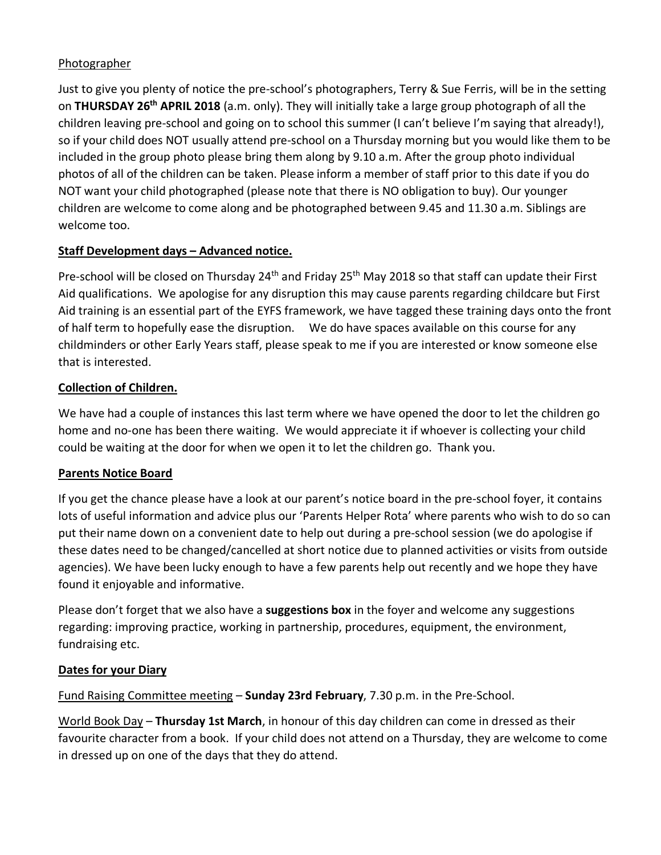#### Photographer

Just to give you plenty of notice the pre-school's photographers, Terry & Sue Ferris, will be in the setting on **THURSDAY 26th APRIL 2018** (a.m. only). They will initially take a large group photograph of all the children leaving pre-school and going on to school this summer (I can't believe I'm saying that already!), so if your child does NOT usually attend pre-school on a Thursday morning but you would like them to be included in the group photo please bring them along by 9.10 a.m. After the group photo individual photos of all of the children can be taken. Please inform a member of staff prior to this date if you do NOT want your child photographed (please note that there is NO obligation to buy). Our younger children are welcome to come along and be photographed between 9.45 and 11.30 a.m. Siblings are welcome too.

## **Staff Development days – Advanced notice.**

Pre-school will be closed on Thursday 24<sup>th</sup> and Friday 25<sup>th</sup> May 2018 so that staff can update their First Aid qualifications. We apologise for any disruption this may cause parents regarding childcare but First Aid training is an essential part of the EYFS framework, we have tagged these training days onto the front of half term to hopefully ease the disruption. We do have spaces available on this course for any childminders or other Early Years staff, please speak to me if you are interested or know someone else that is interested.

# **Collection of Children.**

We have had a couple of instances this last term where we have opened the door to let the children go home and no-one has been there waiting. We would appreciate it if whoever is collecting your child could be waiting at the door for when we open it to let the children go. Thank you.

## **Parents Notice Board**

If you get the chance please have a look at our parent's notice board in the pre-school foyer, it contains lots of useful information and advice plus our 'Parents Helper Rota' where parents who wish to do so can put their name down on a convenient date to help out during a pre-school session (we do apologise if these dates need to be changed/cancelled at short notice due to planned activities or visits from outside agencies). We have been lucky enough to have a few parents help out recently and we hope they have found it enjoyable and informative.

Please don't forget that we also have a **suggestions box** in the foyer and welcome any suggestions regarding: improving practice, working in partnership, procedures, equipment, the environment, fundraising etc.

## **Dates for your Diary**

Fund Raising Committee meeting – **Sunday 23rd February**, 7.30 p.m. in the Pre-School.

World Book Day – **Thursday 1st March**, in honour of this day children can come in dressed as their favourite character from a book. If your child does not attend on a Thursday, they are welcome to come in dressed up on one of the days that they do attend.